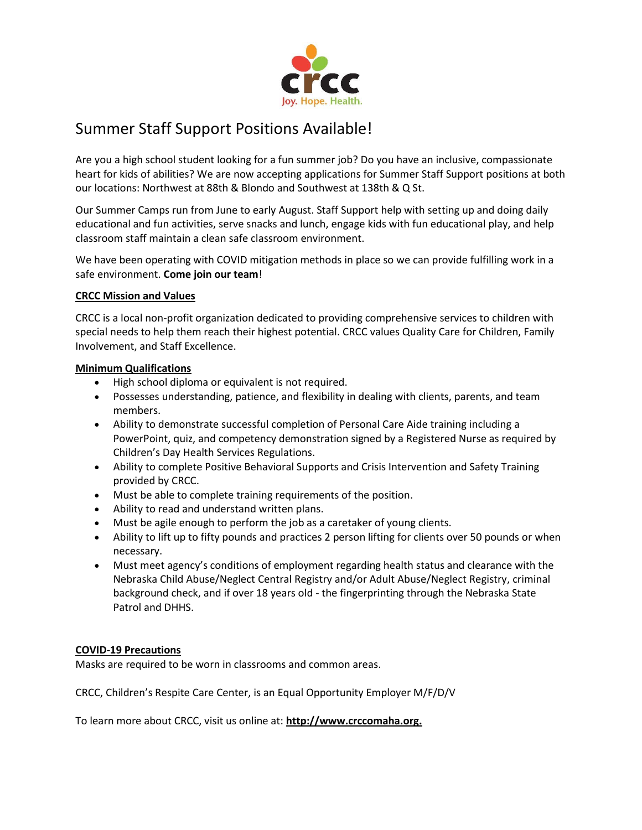

## Summer Staff Support Positions Available!

Are you a high school student looking for a fun summer job? Do you have an inclusive, compassionate heart for kids of abilities? We are now accepting applications for Summer Staff Support positions at both our locations: Northwest at 88th & Blondo and Southwest at 138th & Q St.

Our Summer Camps run from June to early August. Staff Support help with setting up and doing daily educational and fun activities, serve snacks and lunch, engage kids with fun educational play, and help classroom staff maintain a clean safe classroom environment.

We have been operating with COVID mitigation methods in place so we can provide fulfilling work in a safe environment. **Come join our team**!

## **CRCC Mission and Values**

CRCC is a local non-profit organization dedicated to providing comprehensive services to children with special needs to help them reach their highest potential. CRCC values Quality Care for Children, Family Involvement, and Staff Excellence.

## **Minimum Qualifications**

- High school diploma or equivalent is not required.
- Possesses understanding, patience, and flexibility in dealing with clients, parents, and team members.
- Ability to demonstrate successful completion of Personal Care Aide training including a PowerPoint, quiz, and competency demonstration signed by a Registered Nurse as required by Children's Day Health Services Regulations.
- Ability to complete Positive Behavioral Supports and Crisis Intervention and Safety Training provided by CRCC.
- Must be able to complete training requirements of the position.
- Ability to read and understand written plans.
- Must be agile enough to perform the job as a caretaker of young clients.
- Ability to lift up to fifty pounds and practices 2 person lifting for clients over 50 pounds or when necessary.
- Must meet agency's conditions of employment regarding health status and clearance with the Nebraska Child Abuse/Neglect Central Registry and/or Adult Abuse/Neglect Registry, criminal background check, and if over 18 years old - the fingerprinting through the Nebraska State Patrol and DHHS.

## **COVID-19 Precautions**

Masks are required to be worn in classrooms and common areas.

CRCC, Children's Respite Care Center, is an Equal Opportunity Employer M/F/D/V

To learn more about CRCC, visit us online at: **[http://www.crccomaha.org.](http://www.crccomaha.org/)**